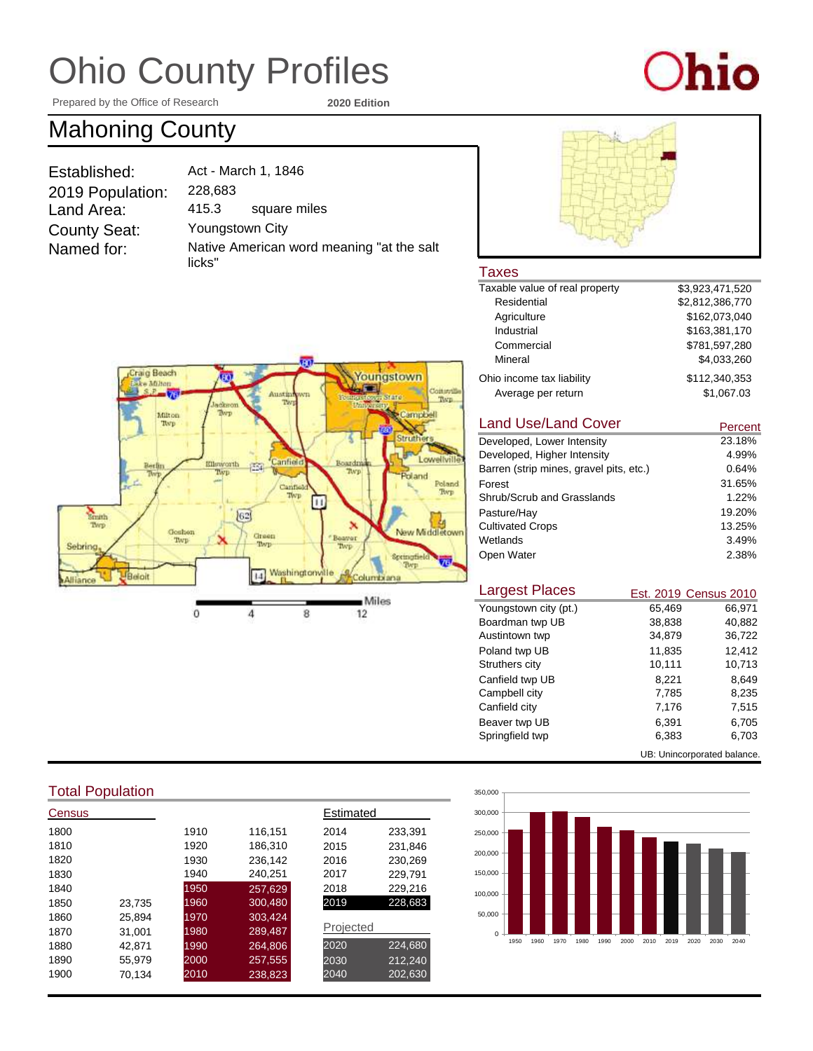# Ohio County Profiles

Prepared by the Office of Research **2020 Edition**

# $O$ hio

### Mahoning County

| Established:     | Act - March 1, 1846    |                                           |
|------------------|------------------------|-------------------------------------------|
| 2019 Population: | 228,683                |                                           |
| Land Area:       | 415.3                  | square miles                              |
| County Seat:     | <b>Youngstown City</b> |                                           |
| Named for:       | licks"                 | Native American word meaning "at the salt |



| <b>Taxes</b>                   |                 |
|--------------------------------|-----------------|
| Taxable value of real property | \$3.923.471.520 |
| Residential                    | \$2,812,386,770 |
| Agriculture                    | \$162.073.040   |
| Industrial                     | \$163,381,170   |
| Commercial                     | \$781,597,280   |
| Mineral                        | \$4.033.260     |
| Ohio income tax liability      | \$112,340,353   |
| Average per return             | \$1.067.03      |

#### Land Use/Land Cover

| Land Use/Land Cover                     | Percent |
|-----------------------------------------|---------|
| Developed, Lower Intensity              | 23.18%  |
| Developed, Higher Intensity             | 4.99%   |
| Barren (strip mines, gravel pits, etc.) | 0.64%   |
| Forest                                  | 31.65%  |
| Shrub/Scrub and Grasslands              | 1.22%   |
| Pasture/Hay                             | 19.20%  |
| <b>Cultivated Crops</b>                 | 13.25%  |
| Wetlands                                | 3.49%   |
| Open Water                              | 2.38%   |
|                                         |         |

| <b>Largest Places</b> |                             | Est. 2019 Census 2010 |
|-----------------------|-----------------------------|-----------------------|
| Youngstown city (pt.) | 65,469                      | 66,971                |
| Boardman twp UB       | 38.838                      | 40,882                |
| Austintown twp        | 34,879                      | 36,722                |
| Poland twp UB         | 11.835                      | 12.412                |
| Struthers city        | 10,111                      | 10,713                |
| Canfield twp UB       | 8.221                       | 8.649                 |
| Campbell city         | 7,785                       | 8.235                 |
| Canfield city         | 7,176                       | 7,515                 |
| Beaver twp UB         | 6.391                       | 6.705                 |
| Springfield twp       | 6,383                       | 6,703                 |
|                       | UB: Unincorporated balance. |                       |





### Total Population

| Census |        |      |         | Estimated |         |
|--------|--------|------|---------|-----------|---------|
| 1800   |        | 1910 | 116,151 | 2014      | 233,391 |
| 1810   |        | 1920 | 186,310 | 2015      | 231.846 |
| 1820   |        | 1930 | 236,142 | 2016      | 230,269 |
| 1830   |        | 1940 | 240,251 | 2017      | 229,791 |
| 1840   |        | 1950 | 257,629 | 2018      | 229,216 |
| 1850   | 23,735 | 1960 | 300,480 | 2019      | 228,683 |
| 1860   | 25,894 | 1970 | 303,424 |           |         |
| 1870   | 31,001 | 1980 | 289,487 | Projected |         |
| 1880   | 42,871 | 1990 | 264,806 | 2020      | 224,680 |
| 1890   | 55.979 | 2000 | 257,555 | 2030      | 212,240 |
| 1900   | 70.134 | 2010 | 238,823 | 2040      | 202,630 |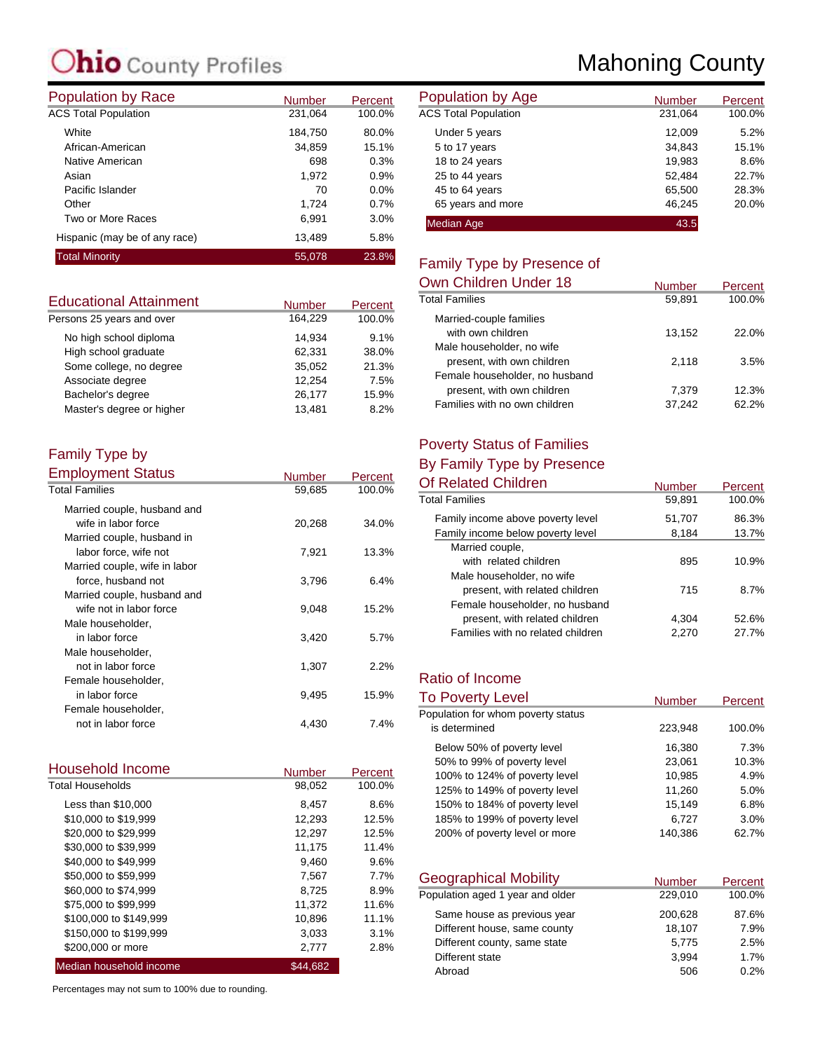## **hio** County Profiles

| <b>Population by Race</b>     | <b>Number</b> | Percent | Population by Age           |
|-------------------------------|---------------|---------|-----------------------------|
| <b>ACS Total Population</b>   | 231,064       | 100.0%  | <b>ACS Total Population</b> |
| White                         | 184,750       | 80.0%   | Under 5 years               |
| African-American              | 34,859        | 15.1%   | 5 to 17 years               |
| Native American               | 698           | 0.3%    | 18 to 24 years              |
| Asian                         | 1.972         | 0.9%    | 25 to 44 years              |
| Pacific Islander              | 70            | $0.0\%$ | 45 to 64 years              |
| Other                         | 1.724         | 0.7%    | 65 years and more           |
| Two or More Races             | 6,991         | 3.0%    | <b>Median Age</b>           |
| Hispanic (may be of any race) | 13.489        | 5.8%    |                             |
| <b>Total Minority</b>         | 55,078        | 23.8%   | Eamily Type by Dr           |

| <b>Educational Attainment</b> | <b>Number</b> | Percent |
|-------------------------------|---------------|---------|
| Persons 25 years and over     | 164.229       | 100.0%  |
| No high school diploma        | 14.934        | 9.1%    |
| High school graduate          | 62,331        | 38.0%   |
| Some college, no degree       | 35.052        | 21.3%   |
| Associate degree              | 12,254        | 7.5%    |
| Bachelor's degree             | 26,177        | 15.9%   |
| Master's degree or higher     | 13,481        | 8.2%    |

#### Family Type by Employment Status

| Employment Status             | Number | Percent |
|-------------------------------|--------|---------|
| <b>Total Families</b>         | 59,685 | 100.0%  |
| Married couple, husband and   |        |         |
| wife in labor force           | 20,268 | 34.0%   |
| Married couple, husband in    |        |         |
| labor force, wife not         | 7,921  | 13.3%   |
| Married couple, wife in labor |        |         |
| force, husband not            | 3,796  | 6.4%    |
| Married couple, husband and   |        |         |
| wife not in labor force       | 9,048  | 15.2%   |
| Male householder,             |        |         |
| in labor force                | 3,420  | 5.7%    |
| Male householder,             |        |         |
| not in labor force            | 1,307  | 2.2%    |
| Female householder,           |        |         |
| in labor force                | 9,495  | 15.9%   |
| Female householder,           |        |         |
| not in labor force            | 4.430  | 7.4%    |

| Household Income        | <b>Number</b> | Percent |
|-------------------------|---------------|---------|
| <b>Total Households</b> | 98,052        | 100.0%  |
| Less than \$10,000      | 8,457         | 8.6%    |
| \$10,000 to \$19,999    | 12,293        | 12.5%   |
| \$20,000 to \$29,999    | 12,297        | 12.5%   |
| \$30,000 to \$39,999    | 11,175        | 11.4%   |
| \$40,000 to \$49.999    | 9.460         | 9.6%    |
| \$50,000 to \$59,999    | 7,567         | 7.7%    |
| \$60,000 to \$74,999    | 8.725         | 8.9%    |
| \$75,000 to \$99,999    | 11,372        | 11.6%   |
| \$100,000 to \$149,999  | 10,896        | 11.1%   |
| \$150,000 to \$199,999  | 3,033         | 3.1%    |
| \$200,000 or more       | 2,777         | 2.8%    |
| Median household income | \$44.682      |         |

Percentages may not sum to 100% due to rounding.

### Mahoning County

| <b>Number</b> | Percent | Population by Age           | <b>Number</b> | Percent |
|---------------|---------|-----------------------------|---------------|---------|
| 231,064       | 100.0%  | <b>ACS Total Population</b> | 231,064       | 100.0%  |
| 184,750       | 80.0%   | Under 5 years               | 12,009        | 5.2%    |
| 34,859        | 15.1%   | 5 to 17 years               | 34.843        | 15.1%   |
| 698           | 0.3%    | 18 to 24 years              | 19,983        | 8.6%    |
| 1.972         | 0.9%    | 25 to 44 years              | 52.484        | 22.7%   |
| 70            | $0.0\%$ | 45 to 64 years              | 65,500        | 28.3%   |
| 1.724         | 0.7%    | 65 years and more           | 46.245        | 20.0%   |
| 6,991         | $3.0\%$ | Median Age                  | 43.5          |         |

### Family Type by Presence of

| Own Children Under 18          | <b>Number</b> | Percent |
|--------------------------------|---------------|---------|
| <b>Total Families</b>          | 59,891        | 100.0%  |
| Married-couple families        |               |         |
| with own children              | 13,152        | 22.0%   |
| Male householder, no wife      |               |         |
| present, with own children     | 2.118         | 3.5%    |
| Female householder, no husband |               |         |
| present, with own children     | 7.379         | 12.3%   |
| Families with no own children  | 37,242        | 62.2%   |

### Poverty Status of Families

### By Family Type by Presence

| <b>Number</b> | Percent |
|---------------|---------|
| 59,891        | 100.0%  |
| 51,707        | 86.3%   |
| 8,184         | 13.7%   |
|               |         |
| 895           | 10.9%   |
|               |         |
| 715           | 8.7%    |
|               |         |
| 4.304         | 52.6%   |
| 2,270         | 27.7%   |
|               |         |

### Ratio of Income

| <b>To Poverty Level</b>            | <b>Number</b> | <b>Percent</b> |
|------------------------------------|---------------|----------------|
| Population for whom poverty status |               |                |
| is determined                      | 223.948       | 100.0%         |
| Below 50% of poverty level         | 16,380        | $7.3\%$        |
| 50% to 99% of poverty level        | 23,061        | 10.3%          |
| 100% to 124% of poverty level      | 10,985        | 4.9%           |
| 125% to 149% of poverty level      | 11,260        | 5.0%           |
| 150% to 184% of poverty level      | 15,149        | 6.8%           |
| 185% to 199% of poverty level      | 6.727         | 3.0%           |
| 200% of poverty level or more      | 140.386       | 62.7%          |

| <b>Geographical Mobility</b>     | <b>Number</b> | Percent |
|----------------------------------|---------------|---------|
| Population aged 1 year and older | 229,010       | 100.0%  |
| Same house as previous year      | 200,628       | 87.6%   |
| Different house, same county     | 18,107        | 7.9%    |
| Different county, same state     | 5,775         | 2.5%    |
| Different state                  | 3.994         | 1.7%    |
| Abroad                           | 506           | 0.2%    |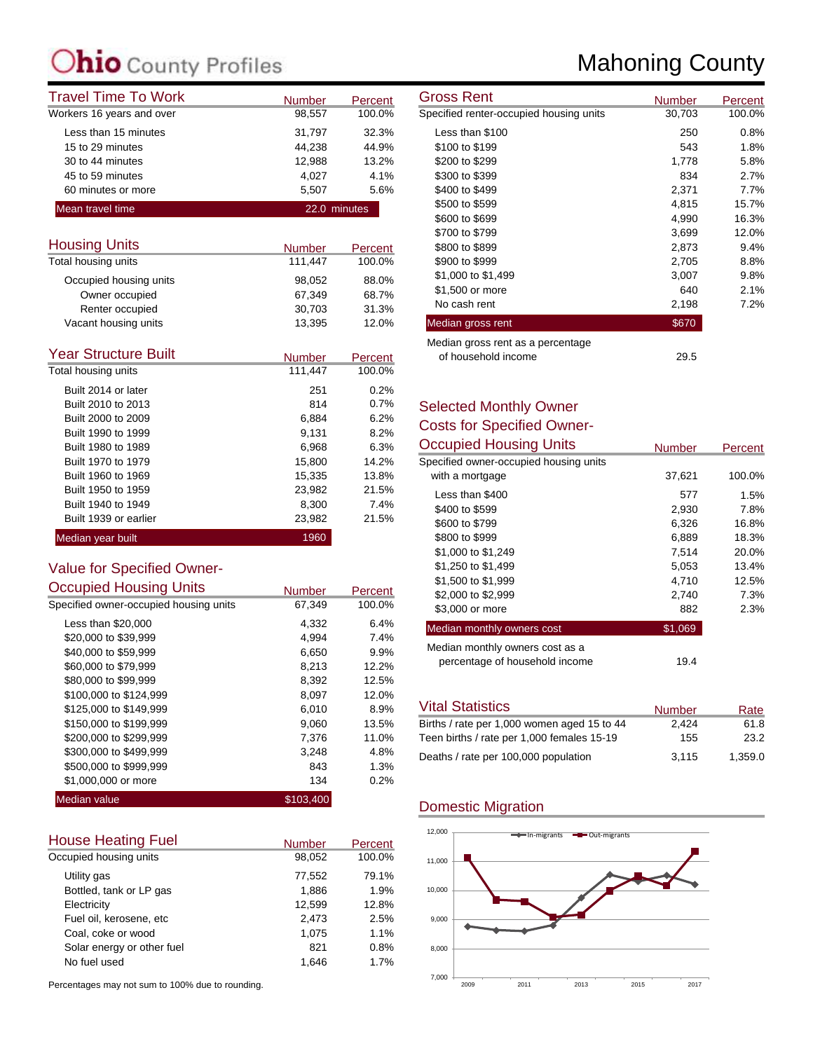## **C**ounty Profiles

| <b>Travel Time To Work</b> | <b>Number</b> | Percent | <b>Gross Rent</b>                       | Number |
|----------------------------|---------------|---------|-----------------------------------------|--------|
| Workers 16 years and over  | 98,557        | 100.0%  | Specified renter-occupied housing units | 30,703 |
| Less than 15 minutes       | 31.797        | 32.3%   | Less than \$100                         | 25C    |
| 15 to 29 minutes           | 44.238        | 44.9%   | \$100 to \$199                          | 543    |
| 30 to 44 minutes           | 12.988        | 13.2%   | \$200 to \$299                          | 1,778  |
| 45 to 59 minutes           | 4.027         | 4.1%    | \$300 to \$399                          | 834    |
| 60 minutes or more         | 5.507         | 5.6%    | \$400 to \$499                          | 2.371  |
| Mean travel time           | 22.0 minutes  |         | \$500 to \$599                          | 4,815  |
|                            |               |         | $0.0016$ feno                           | 1.000  |

| <b>Housing Units</b>   | <b>Number</b> | Percent |
|------------------------|---------------|---------|
| Total housing units    | 111.447       | 100.0%  |
| Occupied housing units | 98,052        | 88.0%   |
| Owner occupied         | 67.349        | 68.7%   |
| Renter occupied        | 30,703        | 31.3%   |
| Vacant housing units   | 13,395        | 12.0%   |

| <b>Year Structure Built</b> | <b>Number</b> | Percent |
|-----------------------------|---------------|---------|
| Total housing units         | 111,447       | 100.0%  |
| Built 2014 or later         | 251           | 0.2%    |
| Built 2010 to 2013          | 814           | 0.7%    |
| Built 2000 to 2009          | 6,884         | 6.2%    |
| Built 1990 to 1999          | 9.131         | 8.2%    |
| Built 1980 to 1989          | 6,968         | 6.3%    |
| Built 1970 to 1979          | 15,800        | 14.2%   |
| Built 1960 to 1969          | 15,335        | 13.8%   |
| Built 1950 to 1959          | 23.982        | 21.5%   |
| Built 1940 to 1949          | 8.300         | 7.4%    |
| Built 1939 or earlier       | 23,982        | 21.5%   |
| Median year built           | 1960          |         |

### Value for Specified Owner-

| <b>Occupied Housing Units</b>          | <b>Number</b> | Percent |
|----------------------------------------|---------------|---------|
| Specified owner-occupied housing units | 67,349        | 100.0%  |
| Less than \$20,000                     | 4,332         | 6.4%    |
| \$20,000 to \$39,999                   | 4,994         | 7.4%    |
| \$40,000 to \$59.999                   | 6,650         | 9.9%    |
| \$60,000 to \$79,999                   | 8,213         | 12.2%   |
| \$80,000 to \$99,999                   | 8,392         | 12.5%   |
| \$100,000 to \$124,999                 | 8,097         | 12.0%   |
| \$125,000 to \$149,999                 | 6,010         | 8.9%    |
| \$150,000 to \$199,999                 | 9,060         | 13.5%   |
| \$200,000 to \$299,999                 | 7,376         | 11.0%   |
| \$300,000 to \$499,999                 | 3,248         | 4.8%    |
| \$500,000 to \$999,999                 | 843           | 1.3%    |
| \$1,000,000 or more                    | 134           | 0.2%    |
| <b>Median value</b>                    | \$103.400     |         |

| <b>House Heating Fuel</b>  | <b>Number</b> | Percent |
|----------------------------|---------------|---------|
| Occupied housing units     | 98,052        | 100.0%  |
| Utility gas                | 77,552        | 79.1%   |
| Bottled, tank or LP gas    | 1.886         | 1.9%    |
| Electricity                | 12,599        | 12.8%   |
| Fuel oil, kerosene, etc.   | 2,473         | 2.5%    |
| Coal, coke or wood         | 1.075         | 1.1%    |
| Solar energy or other fuel | 821           | 0.8%    |
| No fuel used               | 1.646         | 1.7%    |

Percentages may not sum to 100% due to rounding.

| <b>Mahoning County</b> |  |  |
|------------------------|--|--|
|                        |  |  |

| Gross Rent                              | <b>Number</b> | Percent |
|-----------------------------------------|---------------|---------|
| Specified renter-occupied housing units | 30,703        | 100.0%  |
| Less than \$100                         | 250           | 0.8%    |
| \$100 to \$199                          | 543           | 1.8%    |
| \$200 to \$299                          | 1,778         | 5.8%    |
| \$300 to \$399                          | 834           | 2.7%    |
| \$400 to \$499                          | 2,371         | 7.7%    |
| \$500 to \$599                          | 4,815         | 15.7%   |
| \$600 to \$699                          | 4,990         | 16.3%   |
| \$700 to \$799                          | 3,699         | 12.0%   |
| \$800 to \$899                          | 2,873         | 9.4%    |
| \$900 to \$999                          | 2,705         | 8.8%    |
| \$1,000 to \$1,499                      | 3,007         | 9.8%    |
| \$1,500 or more                         | 640           | 2.1%    |
| No cash rent                            | 2,198         | 7.2%    |
| Median gross rent                       | \$670         |         |
| Median gross rent as a percentage       |               |         |
| of household income                     | 29.5          |         |

### Selected Monthly Owner Costs for Specified Owner-

| <b>Occupied Housing Units</b>          | <b>Number</b> | Percent |
|----------------------------------------|---------------|---------|
| Specified owner-occupied housing units |               |         |
| with a mortgage                        | 37,621        | 100.0%  |
| Less than \$400                        | 577           | 1.5%    |
| \$400 to \$599                         | 2,930         | 7.8%    |
| \$600 to \$799                         | 6,326         | 16.8%   |
| \$800 to \$999                         | 6,889         | 18.3%   |
| \$1,000 to \$1,249                     | 7,514         | 20.0%   |
| \$1,250 to \$1,499                     | 5,053         | 13.4%   |
| \$1,500 to \$1,999                     | 4,710         | 12.5%   |
| \$2,000 to \$2,999                     | 2,740         | 7.3%    |
| \$3,000 or more                        | 882           | 2.3%    |
| Median monthly owners cost             | \$1,069       |         |
| Median monthly owners cost as a        |               |         |
| percentage of household income         | 19.4          |         |

| <b>Vital Statistics</b>                     | <b>Number</b> | Rate    |
|---------------------------------------------|---------------|---------|
| Births / rate per 1,000 women aged 15 to 44 | 2.424         | 61.8    |
| Teen births / rate per 1,000 females 15-19  | 155           | 23.2    |
| Deaths / rate per 100,000 population        | 3.115         | 1.359.0 |

### Domestic Migration

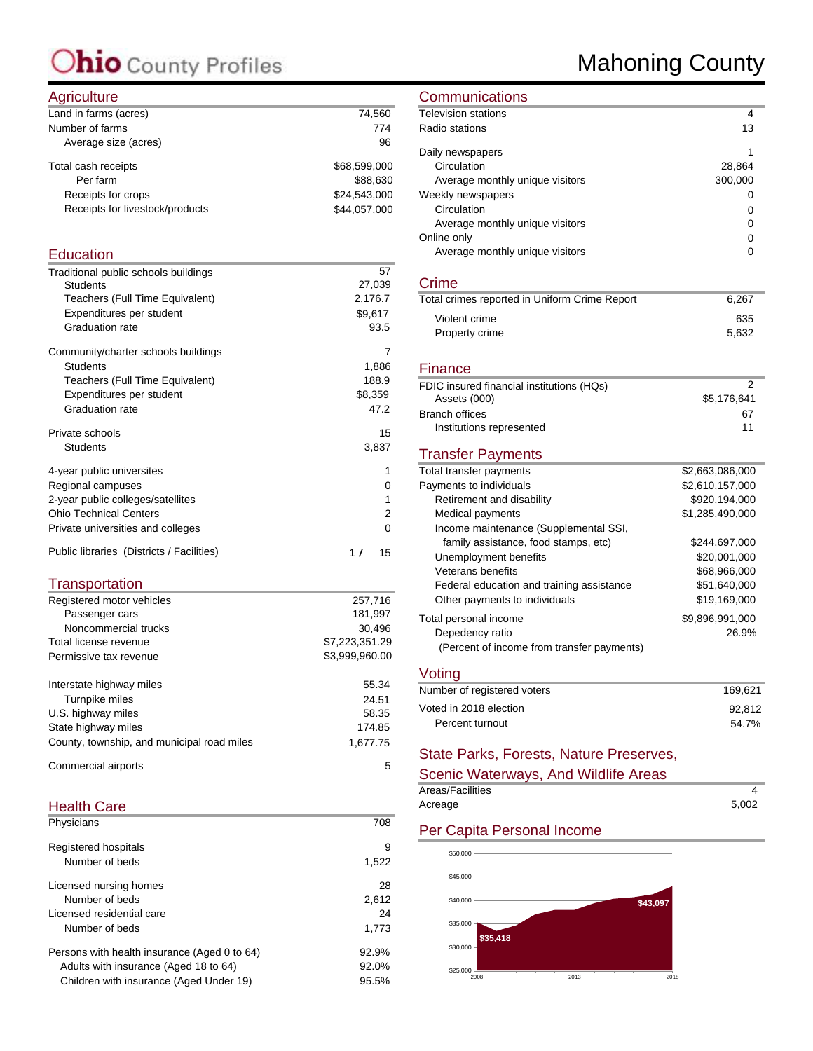## Ohio County Profiles

### Mahoning County

#### **Agriculture**

| $1.9110$ and $0.1$              |              |
|---------------------------------|--------------|
| Land in farms (acres)           | 74,560       |
| Number of farms                 | 774          |
| Average size (acres)            | 96           |
| Total cash receipts             | \$68,599,000 |
| Per farm                        | \$88.630     |
| Receipts for crops              | \$24.543.000 |
| Receipts for livestock/products | \$44,057,000 |
|                                 |              |

### **Education**

| Traditional public schools buildings      | 57       |
|-------------------------------------------|----------|
| <b>Students</b>                           | 27,039   |
| Teachers (Full Time Equivalent)           | 2,176.7  |
| Expenditures per student                  | \$9,617  |
| <b>Graduation rate</b>                    | 93.5     |
| Community/charter schools buildings       | 7        |
| Students                                  | 1,886    |
| Teachers (Full Time Equivalent)           | 188.9    |
| Expenditures per student                  | \$8,359  |
| <b>Graduation rate</b>                    | 47.2     |
| Private schools                           | 15       |
| <b>Students</b>                           | 3,837    |
| 4-year public universites                 | 1        |
| Regional campuses                         | 0        |
| 2-year public colleges/satellites         | 1        |
| <b>Ohio Technical Centers</b>             | 2        |
| Private universities and colleges         | $\Omega$ |
| Public libraries (Districts / Facilities) | 15<br>1/ |

### **Transportation**

| Registered motor vehicles                  | 257,716        |
|--------------------------------------------|----------------|
| Passenger cars                             | 181,997        |
| Noncommercial trucks                       | 30,496         |
| Total license revenue                      | \$7.223.351.29 |
| Permissive tax revenue                     | \$3,999,960.00 |
| Interstate highway miles                   | 55.34          |
| Turnpike miles                             | 24.51          |
| U.S. highway miles                         | 58.35          |
| State highway miles                        | 174.85         |
| County, township, and municipal road miles | 1,677.75       |
| Commercial airports                        | 5              |

#### Health Care

| Physicians                                   | 708        |
|----------------------------------------------|------------|
| Registered hospitals<br>Number of beds       | 9<br>1,522 |
| Licensed nursing homes                       | 28         |
| Number of beds                               | 2.612      |
| Licensed residential care                    | 24         |
| Number of beds                               | 1.773      |
| Persons with health insurance (Aged 0 to 64) | 92.9%      |
| Adults with insurance (Aged 18 to 64)        | 92.0%      |
| Children with insurance (Aged Under 19)      | 95.5%      |

### **Communications**

| <b>Television stations</b>                    | 4       |
|-----------------------------------------------|---------|
| Radio stations                                | 13      |
| Daily newspapers                              |         |
| Circulation                                   | 28,864  |
| Average monthly unique visitors               | 300,000 |
| Weekly newspapers                             |         |
| Circulation                                   | O       |
| Average monthly unique visitors               | O       |
| Online only                                   |         |
| Average monthly unique visitors               |         |
| Crime                                         |         |
| Total crimes reported in Uniform Crime Report | 6.267   |

### **Finance**

| \$5.176.641 |
|-------------|
| 67          |
| 11          |
|             |

Violent crime 635 Property crime 5,632

### Transfer Payments

| Total transfer payments                    | \$2,663,086,000 |
|--------------------------------------------|-----------------|
| Payments to individuals                    | \$2,610,157,000 |
| Retirement and disability                  | \$920,194,000   |
| Medical payments                           | \$1,285,490,000 |
| Income maintenance (Supplemental SSI,      |                 |
| family assistance, food stamps, etc)       | \$244.697.000   |
| Unemployment benefits                      | \$20,001,000    |
| Veterans benefits                          | \$68,966,000    |
| Federal education and training assistance  | \$51,640,000    |
| Other payments to individuals              | \$19.169.000    |
| Total personal income                      | \$9,896,991,000 |
| Depedency ratio                            | 26.9%           |
| (Percent of income from transfer payments) |                 |

#### Voting

| Number of registered voters | 169.621 |
|-----------------------------|---------|
| Voted in 2018 election      | 92.812  |
| Percent turnout             | 54.7%   |
|                             |         |

### State Parks, Forests, Nature Preserves,

| Scenic Waterways, And Wildlife Areas |  |
|--------------------------------------|--|
| Areas/Facilities                     |  |
|                                      |  |

| Acreage |               |  |  |  | 5,002 |
|---------|---------------|--|--|--|-------|
|         | <b>Common</b> |  |  |  |       |

### Per Capita Personal Income